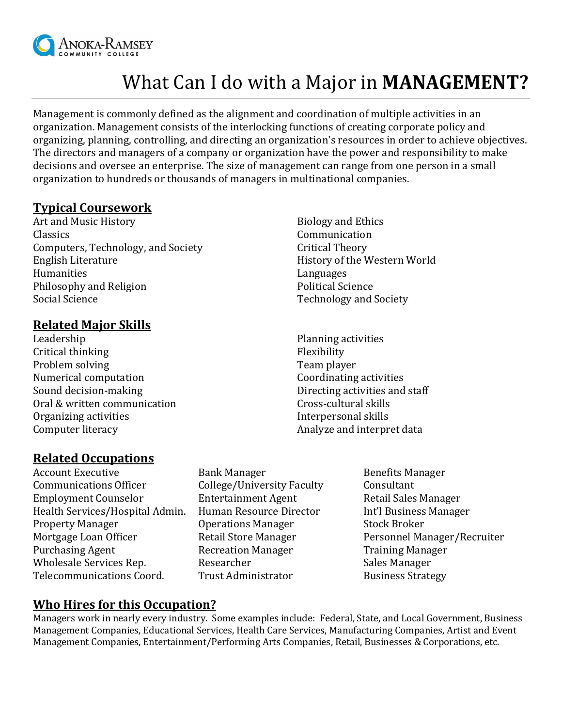

# What Can I do with a Major in **MANAGEMENT?**

Management is commonly defined as the alignment and coordination of multiple activities in an organization. Management consists of the interlocking functions of creating corporate policy and organizing, planning, controlling, and directing an organization's resources in order to achieve objectives. The directors and managers of a company or organization have the power and responsibility to make decisions and oversee an enterprise. The size of management can range from one person in a small organization to hundreds or thousands of managers in multinational companies.

## **Typical Coursework**

Art and Music History **Biology** and Ethics Classics Communication Computers, Technology, and Society Critical Theory English Literature **History of the Western World** Humanities Languages Philosophy and Religion Political Science Social Science Technology and Society

## **Related Major Skills**

Leadership Critical thinking Problem solving Numerical computation Sound decision-making Oral & written communication Organizing activities Computer literacy

## **Related Occupations**

- Account Executive **Bank Manager** Benefits Manager Communications Officer College/University Faculty Consultant Employment Counselor Entertainment Agent Retail Sales Manager Health Services/Hospital Admin. Human Resource Director Int'l Business Manager Property Manager **Constructed Broker** Operations Manager **Stock Broker** Mortgage Loan Officer **Retail Store Manager** Personnel Manager/Recruiter Purchasing Agent **Recreation Manager** Training Manager Wholesale Services Rep. The Researcher Sales Manager Sales Manager Telecommunications Coord. Trust Administrator Business Strategy
	-
- 
- Planning activities Flexibility Team player Coordinating activities Directing activities and staff Cross-cultural skills Interpersonal skills Analyze and interpret data
	-

#### **Who Hires for this Occupation?**

Managers work in nearly every industry. Some examples include: Federal, State, and Local Government, Business Management Companies, Educational Services, Health Care Services, Manufacturing Companies, Artist and Event Management Companies, Entertainment/Performing Arts Companies, Retail, Businesses & Corporations, etc.